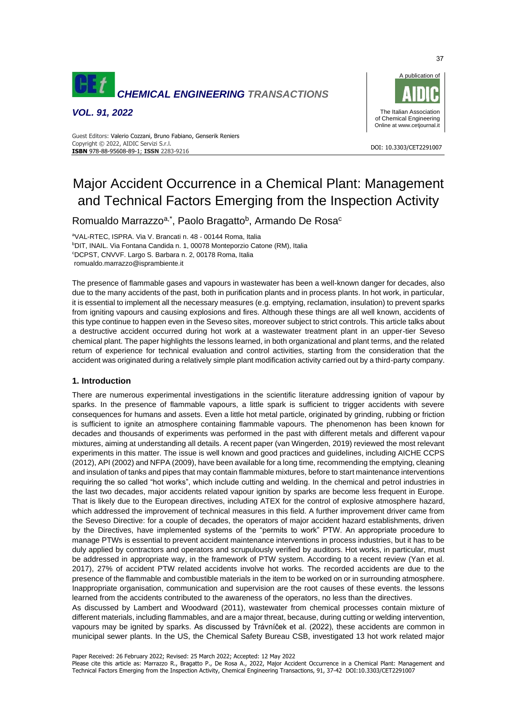

*VOL. 91, 2022*



#### DOI: 10.3303/CET2291007 **ISBN** 978-88-95608-89-1; **ISSN** 2283-9216 Guest Editors: Valerio Cozzani, Bruno Fabiano, Genserik Reniers Copyright © 2022, AIDIC Servizi S.r.l.

# Major Accident Occurrence in a Chemical Plant: Management and Technical Factors Emerging from the Inspection Activity

Romualdo Marrazzo<sup>a,\*</sup>, Paolo Bragatto<sup>b</sup>, Armando De Rosa<sup>o</sup>

<sup>a</sup>VAL-RTEC, ISPRA. Via V. Brancati n. 48 - 00144 Roma, Italia <sup>b</sup>DIT, INAIL. Via Fontana Candida n. 1, 00078 Monteporzio Catone (RM), Italia <sup>c</sup>DCPST, CNVVF. Largo S. Barbara n. 2, 00178 Roma, Italia romualdo.marrazzo@isprambiente.it

The presence of flammable gases and vapours in wastewater has been a well-known danger for decades, also due to the many accidents of the past, both in purification plants and in process plants. In hot work, in particular, it is essential to implement all the necessary measures (e.g. emptying, reclamation, insulation) to prevent sparks from igniting vapours and causing explosions and fires. Although these things are all well known, accidents of this type continue to happen even in the Seveso sites, moreover subject to strict controls. This article talks about a destructive accident occurred during hot work at a wastewater treatment plant in an upper-tier Seveso chemical plant. The paper highlights the lessons learned, in both organizational and plant terms, and the related return of experience for technical evaluation and control activities, starting from the consideration that the accident was originated during a relatively simple plant modification activity carried out by a third-party company.

# **1. Introduction**

There are numerous experimental investigations in the scientific literature addressing ignition of vapour by sparks. In the presence of flammable vapours, a little spark is sufficient to trigger accidents with severe consequences for humans and assets. Even a little hot metal particle, originated by grinding, rubbing or friction is sufficient to ignite an atmosphere containing flammable vapours. The phenomenon has been known for decades and thousands of experiments was performed in the past with different metals and different vapour mixtures, aiming at understanding all details. A recent paper (van Wingerden, 2019) reviewed the most relevant experiments in this matter. The issue is well known and good practices and guidelines, including AICHE CCPS (2012), API (2002) and NFPA (2009), have been available for a long time, recommending the emptying, cleaning and insulation of tanks and pipes that may contain flammable mixtures, before to start maintenance interventions requiring the so called "hot works", which include cutting and welding. In the chemical and petrol industries in the last two decades, major accidents related vapour ignition by sparks are become less frequent in Europe. That is likely due to the European directives, including ATEX for the control of explosive atmosphere hazard, which addressed the improvement of technical measures in this field. A further improvement driver came from the Seveso Directive: for a couple of decades, the operators of major accident hazard establishments, driven by the Directives, have implemented systems of the "permits to work" PTW. An appropriate procedure to manage PTWs is essential to prevent accident maintenance interventions in process industries, but it has to be duly applied by contractors and operators and scrupulously verified by auditors. Hot works, in particular, must be addressed in appropriate way, in the framework of PTW system. According to a recent review (Yan et al. 2017), 27% of accident PTW related accidents involve hot works. The recorded accidents are due to the presence of the flammable and combustible materials in the item to be worked on or in surrounding atmosphere. Inappropriate organisation, communication and supervision are the root causes of these events. the lessons learned from the accidents contributed to the awareness of the operators, no less than the directives.

As discussed by Lambert and Woodward (2011), wastewater from chemical processes contain mixture of different materials, including flammables, and are a major threat, because, during cutting or welding intervention, vapours may be ignited by sparks. As discussed by Trávníček et al. (2022), these accidents are common in municipal sewer plants. In the US, the Chemical Safety Bureau CSB, investigated 13 hot work related major

Paper Received: 26 February 2022; Revised: 25 March 2022; Accepted: 12 May 2022

Please cite this article as: Marrazzo R., Bragatto P., De Rosa A., 2022, Major Accident Occurrence in a Chemical Plant: Management and Technical Factors Emerging from the Inspection Activity, Chemical Engineering Transactions, 91, 37-42 DOI:10.3303/CET2291007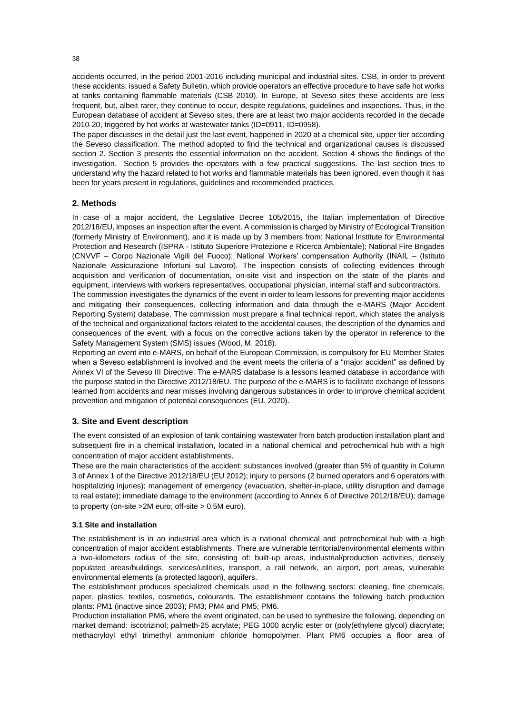accidents occurred, in the period 2001-2016 including municipal and industrial sites. CSB, in order to prevent these accidents, issued a Safety Bulletin, which provide operators an effective procedure to have safe hot works at tanks containing flammable materials (CSB 2010). In Europe, at Seveso sites these accidents are less frequent, but, albeit rarer, they continue to occur, despite regulations, guidelines and inspections. Thus, in the European database of accident at Seveso sites, there are at least two major accidents recorded in the decade 2010-20, triggered by hot works at wastewater tanks (ID=0911, ID=0958).

The paper discusses in the detail just the last event, happened in 2020 at a chemical site, upper tier according the Seveso classification. The method adopted to find the technical and organizational causes is discussed section 2. Section 3 presents the essential information on the accident. Section 4 shows the findings of the investigation. Section 5 provides the operators with a few practical suggestions. The last section tries to understand why the hazard related to hot works and flammable materials has been ignored, even though it has been for years present in regulations, guidelines and recommended practices.

# **2. Methods**

In case of a major accident, the Legislative Decree 105/2015, the Italian implementation of Directive 2012/18/EU, imposes an inspection after the event. A commission is charged by Ministry of Ecological Transition (formerly Ministry of Environment), and it is made up by 3 members from: National Institute for Environmental Protection and Research (ISPRA - Istituto Superiore Protezione e Ricerca Ambientale); National Fire Brigades (CNVVF – Corpo Nazionale Vigili del Fuoco); National Workers' compensation Authority (INAIL – (Istituto Nazionale Assicurazione Infortuni sul Lavoro). The inspection consists of collecting evidences through acquisition and verification of documentation, on-site visit and inspection on the state of the plants and equipment, interviews with workers representatives, occupational physician, internal staff and subcontractors.

The commission investigates the dynamics of the event in order to learn lessons for preventing major accidents and mitigating their consequences, collecting information and data through the e-MARS (Major Accident Reporting System) database. The commission must prepare a final technical report, which states the analysis of the technical and organizational factors related to the accidental causes, the description of the dynamics and consequences of the event, with a focus on the corrective actions taken by the operator in reference to the Safety Management System (SMS) issues (Wood, M. 2018).

Reporting an event into e-MARS, on behalf of the European Commission, is compulsory for EU Member States when a Seveso establishment is involved and the event meets the criteria of a "major accident" as defined by Annex VI of the Seveso III Directive. The e-MARS database is a lessons learned database in accordance with the purpose stated in the Directive 2012/18/EU. The purpose of the e-MARS is to facilitate exchange of lessons learned from accidents and near misses involving dangerous substances in order to improve chemical accident prevention and mitigation of potential consequences (EU. 2020).

# **3. Site and Event description**

The event consisted of an explosion of tank containing wastewater from batch production installation plant and subsequent fire in a chemical installation, located in a national chemical and petrochemical hub with a high concentration of major accident establishments.

These are the main characteristics of the accident: substances involved (greater than 5% of quantity in Column 3 of Annex 1 of the Directive 2012/18/EU (EU 2012); injury to persons (2 burned operators and 6 operators with hospitalizing injuries); management of emergency (evacuation, shelter-in-place, utility disruption and damage to real estate); immediate damage to the environment (according to Annex 6 of Directive 2012/18/EU); damage to property (on-site >2M euro; off-site > 0.5M euro).

# **3.1 Site and installation**

The establishment is in an industrial area which is a national chemical and petrochemical hub with a high concentration of major accident establishments. There are vulnerable territorial/environmental elements within a two-kilometers radius of the site, consisting of: built-up areas, industrial/production activities, densely populated areas/buildings, services/utilities, transport, a rail network, an airport, port areas, vulnerable environmental elements (a protected lagoon), aquifers.

The establishment produces specialized chemicals used in the following sectors: cleaning, fine chemicals, paper, plastics, textiles, cosmetics, colourants. The establishment contains the following batch production plants: PM1 (inactive since 2003); PM3; PM4 and PM5; PM6.

Production installation PM6, where the event originated, can be used to synthesize the following, depending on market demand: iscotrizinol; palmeth-25 acrylate; PEG 1000 acrylic ester or (poly(ethylene glycol) diacrylate; methacryloyl ethyl trimethyl ammonium chloride homopolymer. Plant PM6 occupies a floor area of

38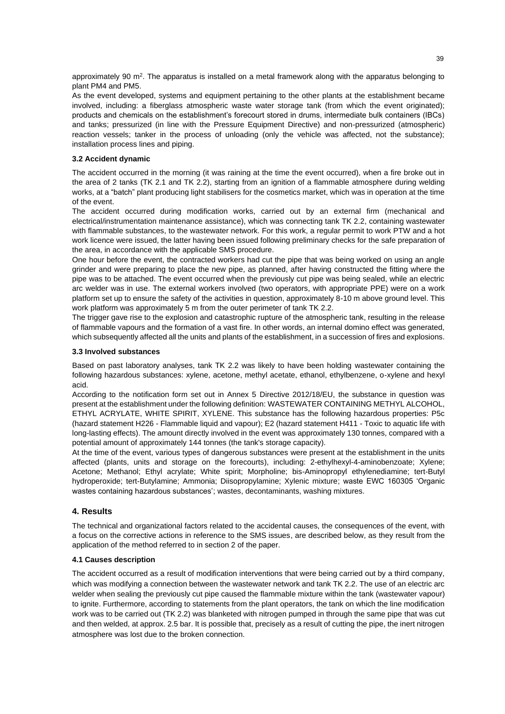approximately 90  $\text{m}^2$ . The apparatus is installed on a metal framework along with the apparatus belonging to plant PM4 and PM5.

As the event developed, systems and equipment pertaining to the other plants at the establishment became involved, including: a fiberglass atmospheric waste water storage tank (from which the event originated); products and chemicals on the establishment's forecourt stored in drums, intermediate bulk containers (IBCs) and tanks; pressurized (in line with the Pressure Equipment Directive) and non-pressurized (atmospheric) reaction vessels; tanker in the process of unloading (only the vehicle was affected, not the substance); installation process lines and piping.

# **3.2 Accident dynamic**

The accident occurred in the morning (it was raining at the time the event occurred), when a fire broke out in the area of 2 tanks (TK 2.1 and TK 2.2), starting from an ignition of a flammable atmosphere during welding works, at a "batch" plant producing light stabilisers for the cosmetics market, which was in operation at the time of the event.

The accident occurred during modification works, carried out by an external firm (mechanical and electrical/instrumentation maintenance assistance), which was connecting tank TK 2.2, containing wastewater with flammable substances, to the wastewater network. For this work, a regular permit to work PTW and a hot work licence were issued, the latter having been issued following preliminary checks for the safe preparation of the area, in accordance with the applicable SMS procedure.

One hour before the event, the contracted workers had cut the pipe that was being worked on using an angle grinder and were preparing to place the new pipe, as planned, after having constructed the fitting where the pipe was to be attached. The event occurred when the previously cut pipe was being sealed, while an electric arc welder was in use. The external workers involved (two operators, with appropriate PPE) were on a work platform set up to ensure the safety of the activities in question, approximately 8-10 m above ground level. This work platform was approximately 5 m from the outer perimeter of tank TK 2.2.

The trigger gave rise to the explosion and catastrophic rupture of the atmospheric tank, resulting in the release of flammable vapours and the formation of a vast fire. In other words, an internal domino effect was generated, which subsequently affected all the units and plants of the establishment, in a succession of fires and explosions.

#### **3.3 Involved substances**

Based on past laboratory analyses, tank TK 2.2 was likely to have been holding wastewater containing the following hazardous substances: xylene, acetone, methyl acetate, ethanol, ethylbenzene, o-xylene and hexyl acid.

According to the notification form set out in Annex 5 Directive 2012/18/EU, the substance in question was present at the establishment under the following definition: WASTEWATER CONTAINING METHYL ALCOHOL, ETHYL ACRYLATE, WHITE SPIRIT, XYLENE. This substance has the following hazardous properties: P5c (hazard statement H226 - Flammable liquid and vapour); E2 (hazard statement H411 - Toxic to aquatic life with long-lasting effects). The amount directly involved in the event was approximately 130 tonnes, compared with a potential amount of approximately 144 tonnes (the tank's storage capacity).

At the time of the event, various types of dangerous substances were present at the establishment in the units affected (plants, units and storage on the forecourts), including: 2-ethylhexyl-4-aminobenzoate; Xylene; Acetone; Methanol; Ethyl acrylate; White spirit; Morpholine; bis-Aminopropyl ethylenediamine; tert-Butyl hydroperoxide; tert-Butylamine; Ammonia; Diisopropylamine; Xylenic mixture; waste EWC 160305 'Organic wastes containing hazardous substances'; wastes, decontaminants, washing mixtures.

# **4. Results**

The technical and organizational factors related to the accidental causes, the consequences of the event, with a focus on the corrective actions in reference to the SMS issues, are described below, as they result from the application of the method referred to in section 2 of the paper.

## **4.1 Causes description**

The accident occurred as a result of modification interventions that were being carried out by a third company, which was modifying a connection between the wastewater network and tank TK 2.2. The use of an electric arc welder when sealing the previously cut pipe caused the flammable mixture within the tank (wastewater vapour) to ignite. Furthermore, according to statements from the plant operators, the tank on which the line modification work was to be carried out (TK 2.2) was blanketed with nitrogen pumped in through the same pipe that was cut and then welded, at approx. 2.5 bar. It is possible that, precisely as a result of cutting the pipe, the inert nitrogen atmosphere was lost due to the broken connection.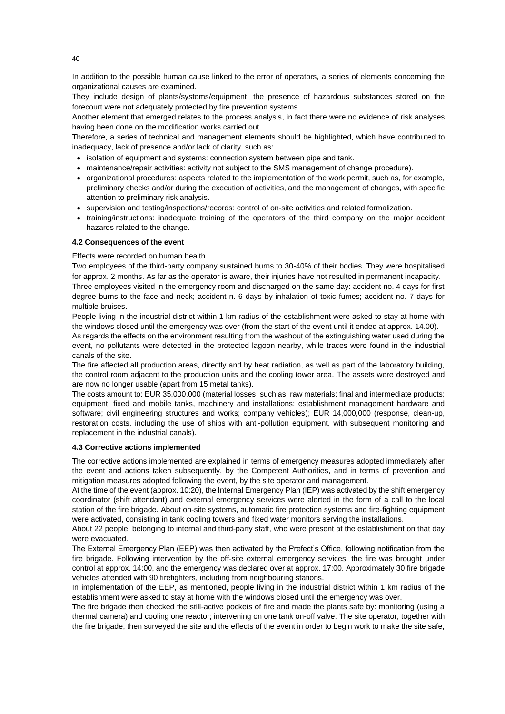In addition to the possible human cause linked to the error of operators, a series of elements concerning the organizational causes are examined.

They include design of plants/systems/equipment: the presence of hazardous substances stored on the forecourt were not adequately protected by fire prevention systems.

Another element that emerged relates to the process analysis, in fact there were no evidence of risk analyses having been done on the modification works carried out.

Therefore, a series of technical and management elements should be highlighted, which have contributed to inadequacy, lack of presence and/or lack of clarity, such as:

- isolation of equipment and systems: connection system between pipe and tank.
- maintenance/repair activities: activity not subject to the SMS management of change procedure).
- organizational procedures: aspects related to the implementation of the work permit, such as, for example, preliminary checks and/or during the execution of activities, and the management of changes, with specific attention to preliminary risk analysis.
- supervision and testing/inspections/records: control of on-site activities and related formalization.
- training/instructions: inadequate training of the operators of the third company on the major accident hazards related to the change.

## **4.2 Consequences of the event**

Effects were recorded on human health.

Two employees of the third-party company sustained burns to 30-40% of their bodies. They were hospitalised for approx. 2 months. As far as the operator is aware, their injuries have not resulted in permanent incapacity.

Three employees visited in the emergency room and discharged on the same day: accident no. 4 days for first degree burns to the face and neck; accident n. 6 days by inhalation of toxic fumes; accident no. 7 days for multiple bruises.

People living in the industrial district within 1 km radius of the establishment were asked to stay at home with the windows closed until the emergency was over (from the start of the event until it ended at approx. 14.00).

As regards the effects on the environment resulting from the washout of the extinguishing water used during the event, no pollutants were detected in the protected lagoon nearby, while traces were found in the industrial canals of the site.

The fire affected all production areas, directly and by heat radiation, as well as part of the laboratory building, the control room adjacent to the production units and the cooling tower area. The assets were destroyed and are now no longer usable (apart from 15 metal tanks).

The costs amount to: EUR 35,000,000 (material losses, such as: raw materials; final and intermediate products; equipment, fixed and mobile tanks, machinery and installations; establishment management hardware and software; civil engineering structures and works; company vehicles); EUR 14,000,000 (response, clean-up, restoration costs, including the use of ships with anti-pollution equipment, with subsequent monitoring and replacement in the industrial canals).

## **4.3 Corrective actions implemented**

The corrective actions implemented are explained in terms of emergency measures adopted immediately after the event and actions taken subsequently, by the Competent Authorities, and in terms of prevention and mitigation measures adopted following the event, by the site operator and management.

At the time of the event (approx. 10:20), the Internal Emergency Plan (IEP) was activated by the shift emergency coordinator (shift attendant) and external emergency services were alerted in the form of a call to the local station of the fire brigade. About on-site systems, automatic fire protection systems and fire-fighting equipment were activated, consisting in tank cooling towers and fixed water monitors serving the installations.

About 22 people, belonging to internal and third-party staff, who were present at the establishment on that day were evacuated.

The External Emergency Plan (EEP) was then activated by the Prefect's Office, following notification from the fire brigade. Following intervention by the off-site external emergency services, the fire was brought under control at approx. 14:00, and the emergency was declared over at approx. 17:00. Approximately 30 fire brigade vehicles attended with 90 firefighters, including from neighbouring stations.

In implementation of the EEP, as mentioned, people living in the industrial district within 1 km radius of the establishment were asked to stay at home with the windows closed until the emergency was over.

The fire brigade then checked the still-active pockets of fire and made the plants safe by: monitoring (using a thermal camera) and cooling one reactor; intervening on one tank on-off valve. The site operator, together with the fire brigade, then surveyed the site and the effects of the event in order to begin work to make the site safe,

40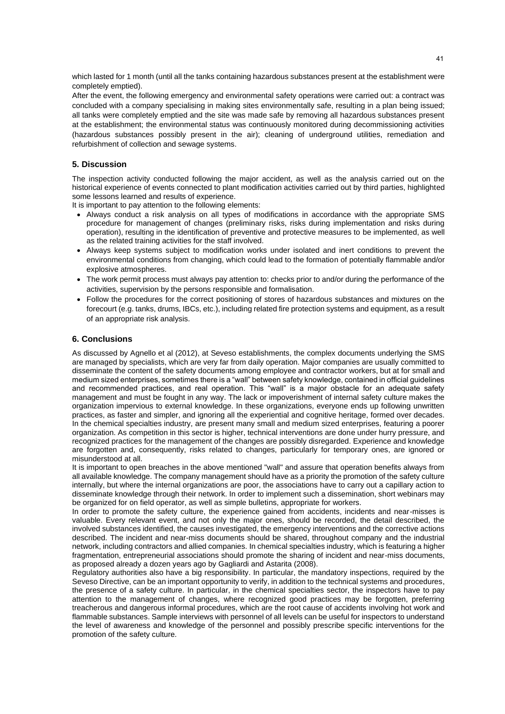which lasted for 1 month (until all the tanks containing hazardous substances present at the establishment were completely emptied).

After the event, the following emergency and environmental safety operations were carried out: a contract was concluded with a company specialising in making sites environmentally safe, resulting in a plan being issued; all tanks were completely emptied and the site was made safe by removing all hazardous substances present at the establishment; the environmental status was continuously monitored during decommissioning activities (hazardous substances possibly present in the air); cleaning of underground utilities, remediation and refurbishment of collection and sewage systems.

# **5. Discussion**

The inspection activity conducted following the major accident, as well as the analysis carried out on the historical experience of events connected to plant modification activities carried out by third parties, highlighted some lessons learned and results of experience.

It is important to pay attention to the following elements:

- Always conduct a risk analysis on all types of modifications in accordance with the appropriate SMS procedure for management of changes (preliminary risks, risks during implementation and risks during operation), resulting in the identification of preventive and protective measures to be implemented, as well as the related training activities for the staff involved.
- Always keep systems subject to modification works under isolated and inert conditions to prevent the environmental conditions from changing, which could lead to the formation of potentially flammable and/or explosive atmospheres.
- The work permit process must always pay attention to: checks prior to and/or during the performance of the activities, supervision by the persons responsible and formalisation.
- Follow the procedures for the correct positioning of stores of hazardous substances and mixtures on the forecourt (e.g. tanks, drums, IBCs, etc.), including related fire protection systems and equipment, as a result of an appropriate risk analysis.

# **6. Conclusions**

As discussed by Agnello et al (2012), at Seveso establishments, the complex documents underlying the SMS are managed by specialists, which are very far from daily operation. Major companies are usually committed to disseminate the content of the safety documents among employee and contractor workers, but at for small and medium sized enterprises, sometimes there is a "wall" between safety knowledge, contained in official guidelines and recommended practices, and real operation. This "wall" is a major obstacle for an adequate safety management and must be fought in any way. The lack or impoverishment of internal safety culture makes the organization impervious to external knowledge. In these organizations, everyone ends up following unwritten practices, as faster and simpler, and ignoring all the experiential and cognitive heritage, formed over decades. In the chemical specialties industry, are present many small and medium sized enterprises, featuring a poorer organization. As competition in this sector is higher, technical interventions are done under hurry pressure, and recognized practices for the management of the changes are possibly disregarded. Experience and knowledge are forgotten and, consequently, risks related to changes, particularly for temporary ones, are ignored or misunderstood at all.

It is important to open breaches in the above mentioned "wall" and assure that operation benefits always from all available knowledge. The company management should have as a priority the promotion of the safety culture internally, but where the internal organizations are poor, the associations have to carry out a capillary action to disseminate knowledge through their network. In order to implement such a dissemination, short webinars may be organized for on field operator, as well as simple bulletins, appropriate for workers.

In order to promote the safety culture, the experience gained from accidents, incidents and near-misses is valuable. Every relevant event, and not only the major ones, should be recorded, the detail described, the involved substances identified, the causes investigated, the emergency interventions and the corrective actions described. The incident and near-miss documents should be shared, throughout company and the industrial network, including contractors and allied companies. In chemical specialties industry, which is featuring a higher fragmentation, entrepreneurial associations should promote the sharing of incident and near-miss documents, as proposed already a dozen years ago by Gagliardi and Astarita (2008).

Regulatory authorities also have a big responsibility. In particular, the mandatory inspections, required by the Seveso Directive, can be an important opportunity to verify, in addition to the technical systems and procedures, the presence of a safety culture. In particular, in the chemical specialties sector, the inspectors have to pay attention to the management of changes, where recognized good practices may be forgotten, preferring treacherous and dangerous informal procedures, which are the root cause of accidents involving hot work and flammable substances. Sample interviews with personnel of all levels can be useful for inspectors to understand the level of awareness and knowledge of the personnel and possibly prescribe specific interventions for the promotion of the safety culture.